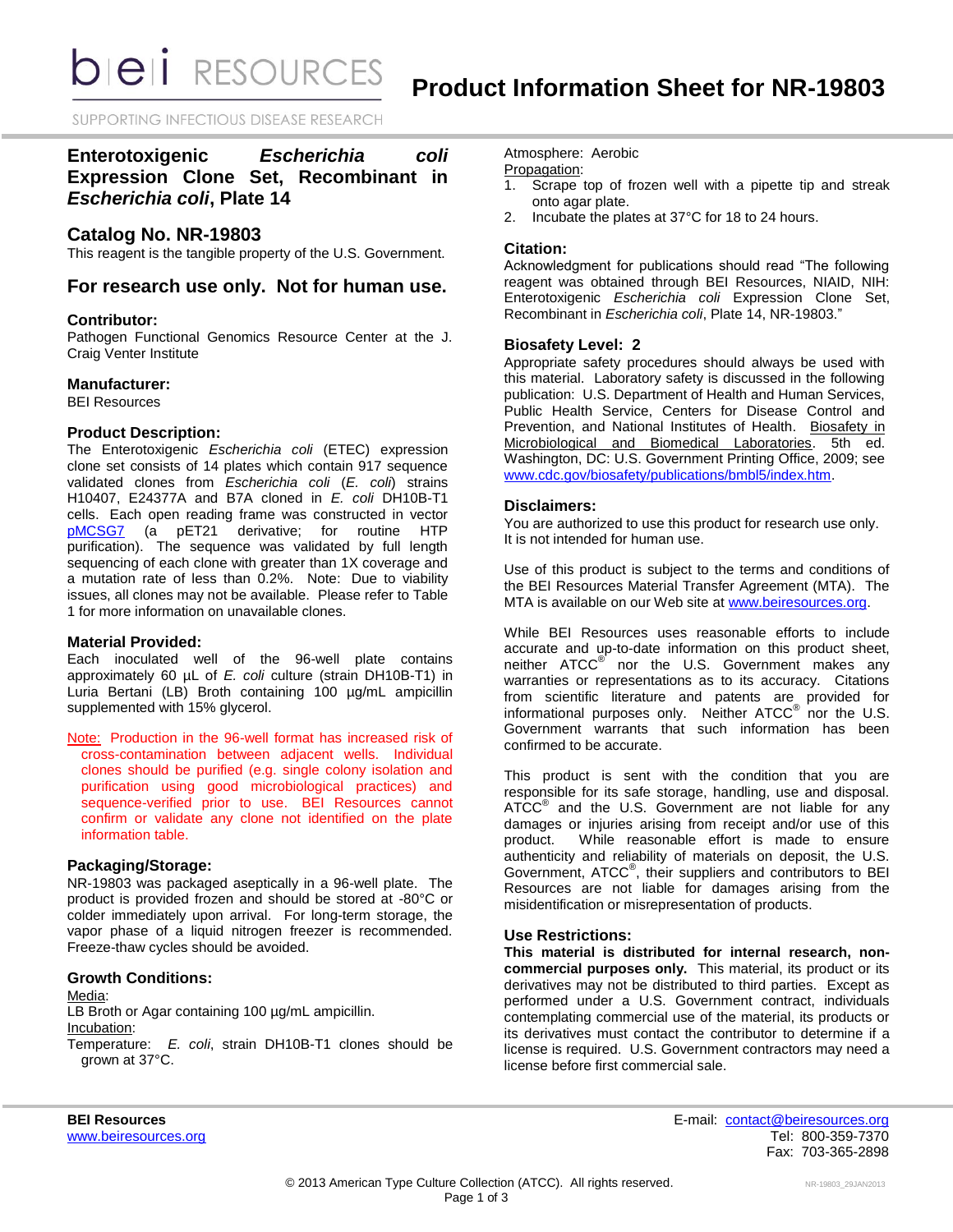*DIEI RESOURCES* 

SUPPORTING INFECTIOUS DISEASE RESEARCH

# **Enterotoxigenic** *Escherichia coli* **Expression Clone Set, Recombinant in**  *Escherichia coli***, Plate 14**

# **Catalog No. NR-19803**

This reagent is the tangible property of the U.S. Government.

# **For research use only. Not for human use.**

# **Contributor:**

Pathogen Functional Genomics Resource Center at the J. Craig Venter Institute

#### **Manufacturer:**

BEI Resources

# **Product Description:**

The Enterotoxigenic *Escherichia coli* (ETEC) expression clone set consists of 14 plates which contain 917 sequence validated clones from *Escherichia coli* (*E. coli*) strains H10407, E24377A and B7A cloned in *E. coli* DH10B-T1 cells. Each open reading frame was constructed in vector [pMCSG7](http://plasmid.med.harvard.edu/PLASMID/GetVectorDetail.do?vectorid=367) (a pET21 derivative; for routine HTP purification). The sequence was validated by full length sequencing of each clone with greater than 1X coverage and a mutation rate of less than 0.2%. Note: Due to viability issues, all clones may not be available. Please refer to Table 1 for more information on unavailable clones.

# **Material Provided:**

Each inoculated well of the 96-well plate contains approximately 60 µL of *E. coli* culture (strain DH10B-T1) in Luria Bertani (LB) Broth containing 100 µg/mL ampicillin supplemented with 15% glycerol.

Note: Production in the 96-well format has increased risk of cross-contamination between adjacent wells. Individual clones should be purified (e.g. single colony isolation and purification using good microbiological practices) and sequence-verified prior to use. BEI Resources cannot confirm or validate any clone not identified on the plate information table.

# **Packaging/Storage:**

NR-19803 was packaged aseptically in a 96-well plate. The product is provided frozen and should be stored at -80°C or colder immediately upon arrival. For long-term storage, the vapor phase of a liquid nitrogen freezer is recommended. Freeze-thaw cycles should be avoided.

# **Growth Conditions:**

#### Media:

LB Broth or Agar containing 100 µg/mL ampicillin. Incubation:

Temperature: *E. coli*, strain DH10B-T1 clones should be grown at 37°C.

Atmosphere: Aerobic

# Propagation:

- 1. Scrape top of frozen well with a pipette tip and streak onto agar plate.
- 2. Incubate the plates at 37°C for 18 to 24 hours.

# **Citation:**

Acknowledgment for publications should read "The following reagent was obtained through BEI Resources, NIAID, NIH: Enterotoxigenic *Escherichia coli* Expression Clone Set, Recombinant in *Escherichia coli*, Plate 14, NR-19803."

# **Biosafety Level: 2**

Appropriate safety procedures should always be used with this material. Laboratory safety is discussed in the following publication: U.S. Department of Health and Human Services, Public Health Service, Centers for Disease Control and Prevention, and National Institutes of Health. Biosafety in Microbiological and Biomedical Laboratories. 5th ed. Washington, DC: U.S. Government Printing Office, 2009; see [www.cdc.gov/biosafety/publications/bmbl5/index.htm.](http://www.cdc.gov/biosafety/publications/bmbl5/index.htm)

# **Disclaimers:**

You are authorized to use this product for research use only. It is not intended for human use.

Use of this product is subject to the terms and conditions of the BEI Resources Material Transfer Agreement (MTA). The MTA is available on our Web site at [www.beiresources.org.](http://www.beiresources.org/)

While BEI Resources uses reasonable efforts to include accurate and up-to-date information on this product sheet, neither ATCC<sup>®</sup> nor the U.S. Government makes any warranties or representations as to its accuracy. Citations from scientific literature and patents are provided for informational purposes only. Neither ATCC<sup>®</sup> nor the U.S. Government warrants that such information has been confirmed to be accurate.

This product is sent with the condition that you are responsible for its safe storage, handling, use and disposal. ATCC<sup>®</sup> and the U.S. Government are not liable for any damages or injuries arising from receipt and/or use of this product. While reasonable effort is made to ensure While reasonable effort is made to ensure authenticity and reliability of materials on deposit, the U.S. Government, ATCC<sup>®</sup>, their suppliers and contributors to BEI Resources are not liable for damages arising from the misidentification or misrepresentation of products.

# **Use Restrictions:**

**This material is distributed for internal research, noncommercial purposes only.** This material, its product or its derivatives may not be distributed to third parties. Except as performed under a U.S. Government contract, individuals contemplating commercial use of the material, its products or its derivatives must contact the contributor to determine if a license is required. U.S. Government contractors may need a license before first commercial sale.

**BEI Resources** E-mail: [contact@beiresources.org](mailto:contact@beiresources.org) Fax: 703-365-2898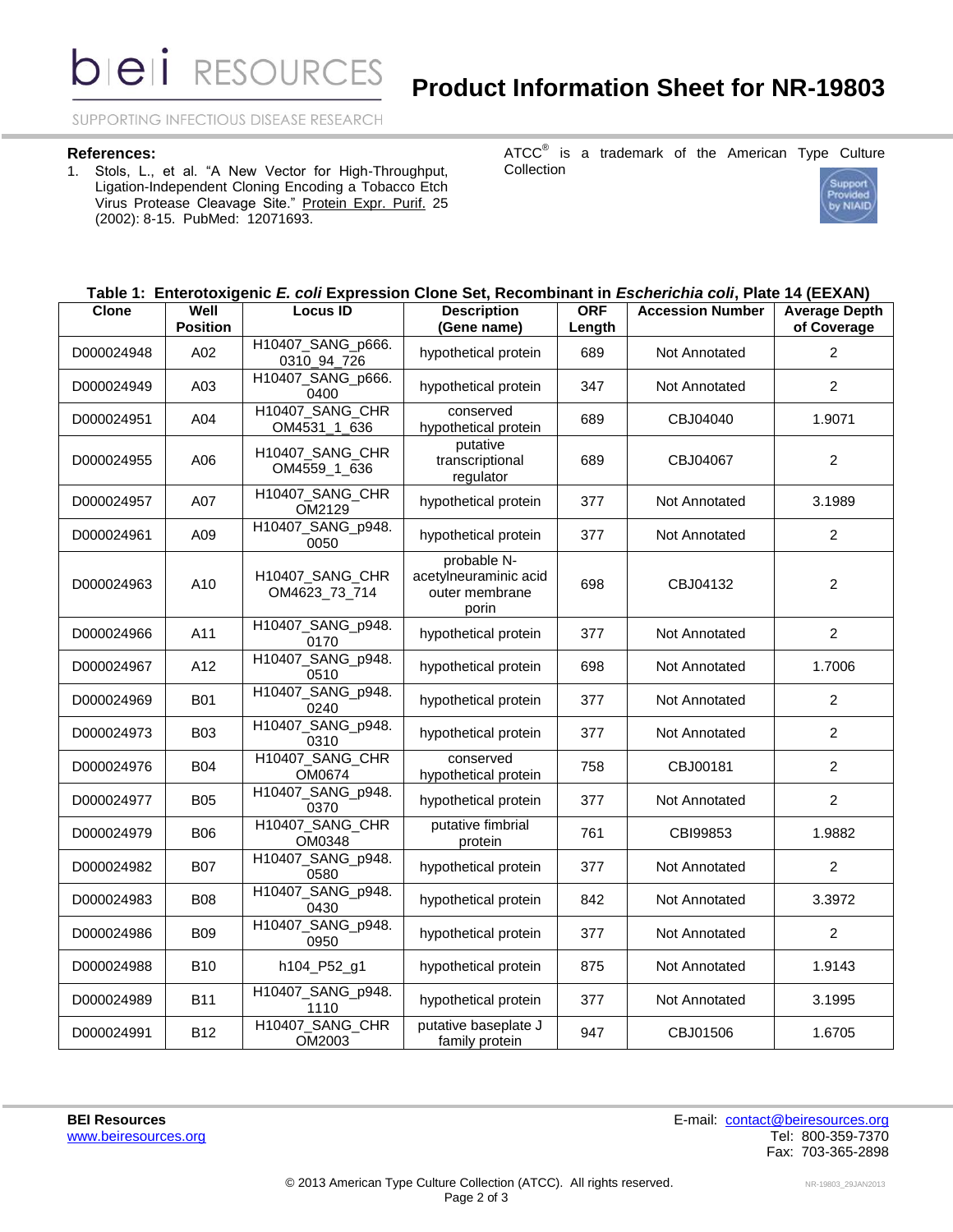**bieli** RESOURCES

SUPPORTING INFECTIOUS DISEASE RESEARCH

#### **References:**

1. Stols, L., et al. "A New Vector for High-Throughput, Ligation-Independent Cloning Encoding a Tobacco Etch Virus Protease Cleavage Site." Protein Expr. Purif. 25 (2002): 8-15. PubMed: 12071693.

ATCC $^{\circ}$  is a trademark of the American Type Culture Collection



# **Table 1: Enterotoxigenic** *E. coli* **Expression Clone Set, Recombinant in** *Escherichia coli***, Plate 14 (EEXAN)**

| <b>Clone</b> | Well<br><b>Position</b> | <b>Locus ID</b>                  | <b>Description</b><br>(Gene name)                               | <b>ORF</b><br>Length | <b>Accession Number</b> | <b>Average Depth</b><br>of Coverage |
|--------------|-------------------------|----------------------------------|-----------------------------------------------------------------|----------------------|-------------------------|-------------------------------------|
| D000024948   | A02                     | H10407_SANG_p666.<br>0310_94_726 | hypothetical protein                                            | 689                  | Not Annotated           | $\overline{2}$                      |
| D000024949   | A03                     | H10407_SANG_p666.<br>0400        | hypothetical protein                                            | 347                  | Not Annotated           | $\overline{2}$                      |
| D000024951   | A04                     | H10407 SANG CHR<br>OM4531_1_636  | conserved<br>hypothetical protein                               | 689                  | CBJ04040                | 1.9071                              |
| D000024955   | A06                     | H10407_SANG_CHR<br>OM4559_1_636  | putative<br>transcriptional<br>regulator                        | 689                  | CBJ04067                | $\overline{2}$                      |
| D000024957   | A07                     | H10407_SANG_CHR<br>OM2129        | hypothetical protein                                            | 377                  | <b>Not Annotated</b>    | 3.1989                              |
| D000024961   | A09                     | H10407_SANG_p948.<br>0050        | hypothetical protein                                            | 377                  | <b>Not Annotated</b>    | $\overline{2}$                      |
| D000024963   | A10                     | H10407_SANG_CHR<br>OM4623_73_714 | probable N-<br>acetylneuraminic acid<br>outer membrane<br>porin | 698                  | CBJ04132                | $\overline{2}$                      |
| D000024966   | A11                     | H10407_SANG_p948.<br>0170        | hypothetical protein                                            | 377                  | Not Annotated           | $\overline{2}$                      |
| D000024967   | A12                     | H10407_SANG_p948.<br>0510        | hypothetical protein                                            | 698                  | <b>Not Annotated</b>    | 1.7006                              |
| D000024969   | <b>B01</b>              | H10407_SANG_p948.<br>0240        | hypothetical protein                                            | 377                  | Not Annotated           | $\overline{2}$                      |
| D000024973   | <b>B03</b>              | H10407_SANG_p948.<br>0310        | hypothetical protein                                            | 377                  | <b>Not Annotated</b>    | $\overline{2}$                      |
| D000024976   | <b>B04</b>              | H10407_SANG_CHR<br>OM0674        | conserved<br>hypothetical protein                               | 758                  | CBJ00181                | $\overline{2}$                      |
| D000024977   | <b>B05</b>              | H10407_SANG_p948.<br>0370        | hypothetical protein                                            | 377                  | <b>Not Annotated</b>    | $\overline{2}$                      |
| D000024979   | <b>B06</b>              | H10407_SANG_CHR<br>OM0348        | putative fimbrial<br>protein                                    | 761                  | CBI99853                | 1.9882                              |
| D000024982   | <b>B07</b>              | H10407_SANG_p948.<br>0580        | hypothetical protein                                            | 377                  | Not Annotated           | $\overline{2}$                      |
| D000024983   | <b>B08</b>              | H10407_SANG_p948.<br>0430        | hypothetical protein                                            | 842                  | Not Annotated           | 3.3972                              |
| D000024986   | <b>B09</b>              | H10407_SANG_p948.<br>0950        | hypothetical protein                                            | 377                  | Not Annotated           | $\overline{c}$                      |
| D000024988   | <b>B10</b>              | h104_P52_g1                      | hypothetical protein                                            | 875                  | Not Annotated           | 1.9143                              |
| D000024989   | <b>B11</b>              | H10407_SANG_p948.<br>1110        | hypothetical protein                                            | 377                  | Not Annotated           | 3.1995                              |
| D000024991   | <b>B12</b>              | H10407_SANG_CHR<br>OM2003        | putative baseplate J<br>family protein                          | 947                  | CBJ01506                | 1.6705                              |